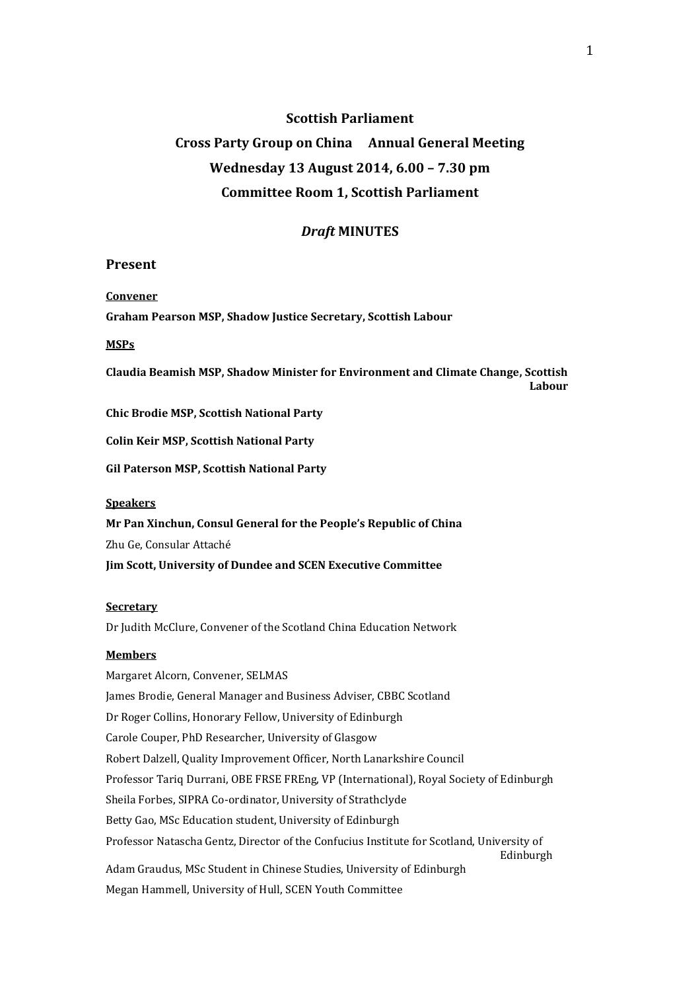#### **Scottish Parliament**

# **Cross Party Group on China Annual General Meeting Wednesday 13 August 2014, 6.00 – 7.30 pm Committee Room 1, Scottish Parliament**

#### *Draft* **MINUTES**

#### **Present**

#### **Convener**

**Graham Pearson MSP, Shadow Justice Secretary, Scottish Labour** 

#### **MSPs**

**Claudia Beamish MSP, Shadow Minister for Environment and Climate Change, Scottish Labour**

**Chic Brodie MSP, Scottish National Party**

**Colin Keir MSP, Scottish National Party**

**Gil Paterson MSP, Scottish National Party**

#### **Speakers**

**Mr Pan Xinchun, Consul General for the People's Republic of China** Zhu Ge, Consular Attaché **Jim Scott, University of Dundee and SCEN Executive Committee**

#### **Secretary**

Dr Judith McClure, Convener of the Scotland China Education Network

#### **Members**

Margaret Alcorn, Convener, SELMAS James Brodie, General Manager and Business Adviser, CBBC Scotland Dr Roger Collins, Honorary Fellow, University of Edinburgh Carole Couper, PhD Researcher, University of Glasgow Robert Dalzell, Quality Improvement Officer, North Lanarkshire Council Professor Tariq Durrani, OBE FRSE FREng, VP (International), Royal Society of Edinburgh Sheila Forbes, SIPRA Co-ordinator, University of Strathclyde Betty Gao, MSc Education student, University of Edinburgh Professor Natascha Gentz, Director of the Confucius Institute for Scotland, University of Edinburgh Adam Graudus, MSc Student in Chinese Studies, University of Edinburgh Megan Hammell, University of Hull, SCEN Youth Committee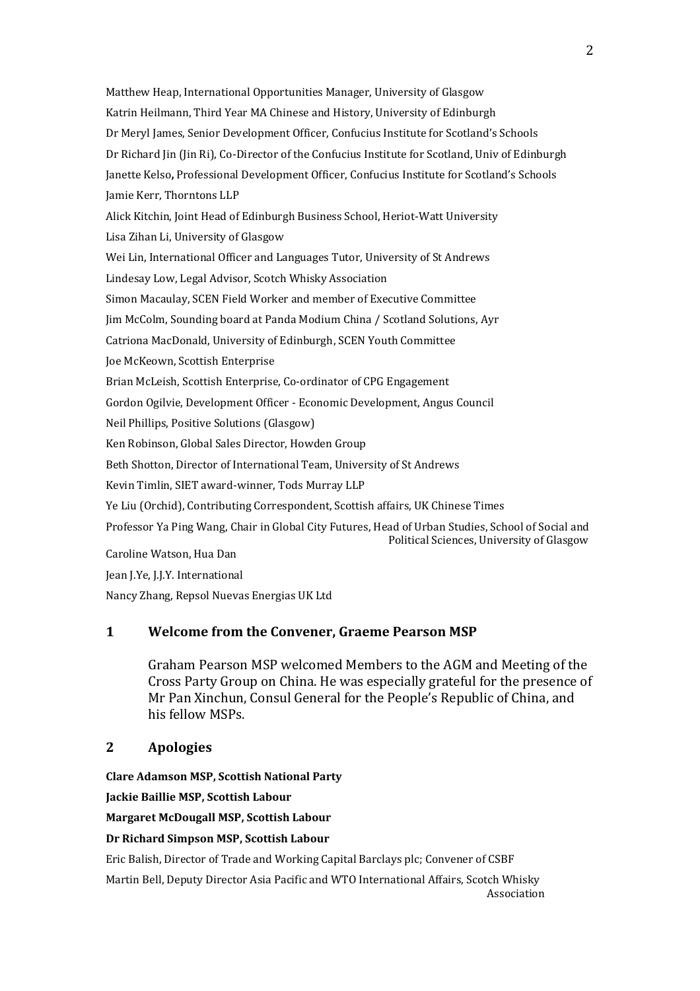Matthew Heap, International Opportunities Manager, University of Glasgow Katrin Heilmann, Third Year MA Chinese and History, University of Edinburgh Dr Meryl James, Senior Development Officer, Confucius Institute for Scotland's Schools Dr Richard Jin (Jin Ri), Co-Director of the Confucius Institute for Scotland, Univ of Edinburgh Janette Kelso**,** Professional Development Officer, Confucius Institute for Scotland's Schools Jamie Kerr, Thorntons LLP Alick Kitchin, Joint Head of Edinburgh Business School, Heriot-Watt University Lisa Zihan Li, University of Glasgow Wei Lin, International Officer and Languages Tutor, University of St Andrews Lindesay Low, Legal Advisor, Scotch Whisky Association Simon Macaulay, SCEN Field Worker and member of Executive Committee Jim McColm, Sounding board at Panda Modium China / Scotland Solutions, Ayr Catriona MacDonald, University of Edinburgh, SCEN Youth Committee Joe McKeown, Scottish Enterprise Brian McLeish, Scottish Enterprise, Co-ordinator of CPG Engagement Gordon Ogilvie, Development Officer - Economic Development, Angus Council Neil Phillips, Positive Solutions (Glasgow) Ken Robinson, Global Sales Director, Howden Group Beth Shotton, Director of International Team, University of St Andrews Kevin Timlin, SIET award-winner, Tods Murray LLP Ye Liu (Orchid), Contributing Correspondent, Scottish affairs, UK Chinese Times Professor Ya Ping Wang, Chair in Global City Futures, Head of Urban Studies, School of Social and Political Sciences, University of Glasgow Caroline Watson, Hua Dan Jean J.Ye, J.J.Y. International Nancy Zhang, Repsol Nuevas Energias UK Ltd

### **1 Welcome from the Convener, Graeme Pearson MSP**

Graham Pearson MSP welcomed Members to the AGM and Meeting of the Cross Party Group on China. He was especially grateful for the presence of Mr Pan Xinchun, Consul General for the People's Republic of China, and his fellow MSPs.

### **2 Apologies**

**Clare Adamson MSP, Scottish National Party Jackie Baillie MSP, Scottish Labour Margaret McDougall MSP, Scottish Labour**

#### **Dr Richard Simpson MSP, Scottish Labour**

Eric Balish, Director of Trade and Working Capital Barclays plc; Convener of CSBF

Martin Bell, Deputy Director Asia Pacific and WTO International Affairs, Scotch Whisky Association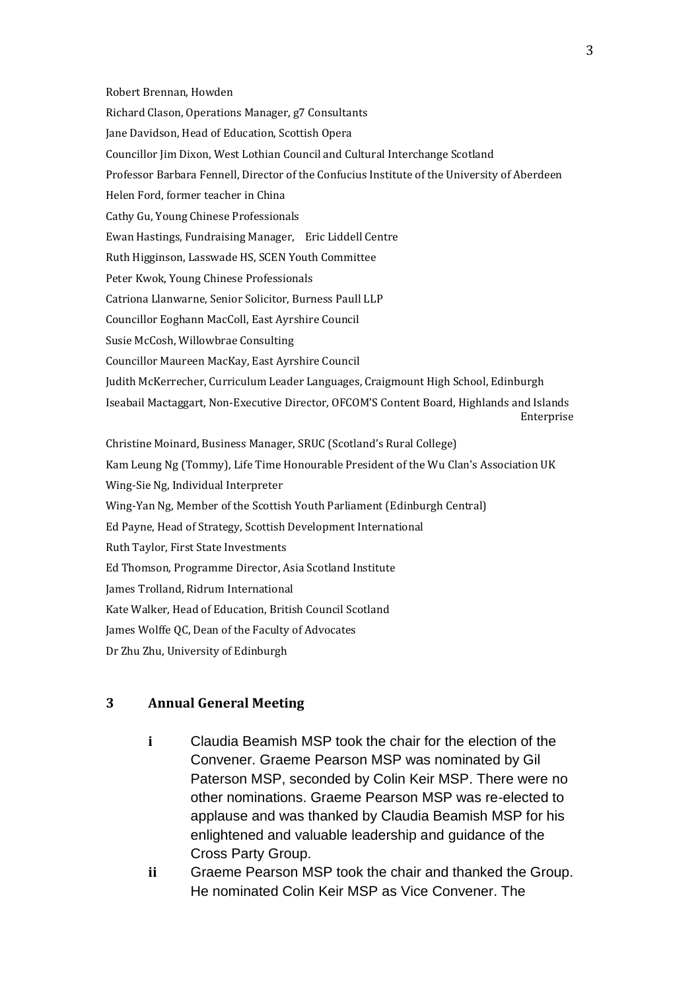Robert Brennan, Howden Richard Clason, Operations Manager, g7 Consultants Jane Davidson, Head of Education, Scottish Opera Councillor Jim Dixon, West Lothian Council and Cultural Interchange Scotland Professor Barbara Fennell, Director of the Confucius Institute of the University of Aberdeen Helen Ford, former teacher in China Cathy Gu, Young Chinese Professionals Ewan Hastings, Fundraising Manager, Eric Liddell Centre Ruth Higginson, Lasswade HS, SCEN Youth Committee Peter Kwok, Young Chinese Professionals Catriona Llanwarne, Senior Solicitor, Burness Paull LLP Councillor Eoghann MacColl, East Ayrshire Council Susie McCosh, Willowbrae Consulting Councillor Maureen MacKay, East Ayrshire Council Judith McKerrecher, Curriculum Leader Languages, Craigmount High School, Edinburgh Iseabail Mactaggart, Non-Executive Director, OFCOM'S Content Board, Highlands and Islands Enterprise Christine Moinard, Business Manager, SRUC (Scotland's Rural College) Kam Leung Ng (Tommy), Life Time Honourable President of the Wu Clan's Association UK Wing-Sie Ng, Individual Interpreter Wing-Yan Ng, Member of the Scottish Youth Parliament (Edinburgh Central) Ed Payne, Head of Strategy, Scottish Development International Ruth Taylor, First State Investments Ed Thomson, Programme Director, Asia Scotland Institute James Trolland, Ridrum International Kate Walker, Head of Education, British Council Scotland James Wolffe QC, Dean of the Faculty of Advocates Dr Zhu Zhu, University of Edinburgh

# **3 Annual General Meeting**

- **i** Claudia Beamish MSP took the chair for the election of the Convener. Graeme Pearson MSP was nominated by Gil Paterson MSP, seconded by Colin Keir MSP. There were no other nominations. Graeme Pearson MSP was re-elected to applause and was thanked by Claudia Beamish MSP for his enlightened and valuable leadership and guidance of the Cross Party Group.
- **ii** Graeme Pearson MSP took the chair and thanked the Group. He nominated Colin Keir MSP as Vice Convener. The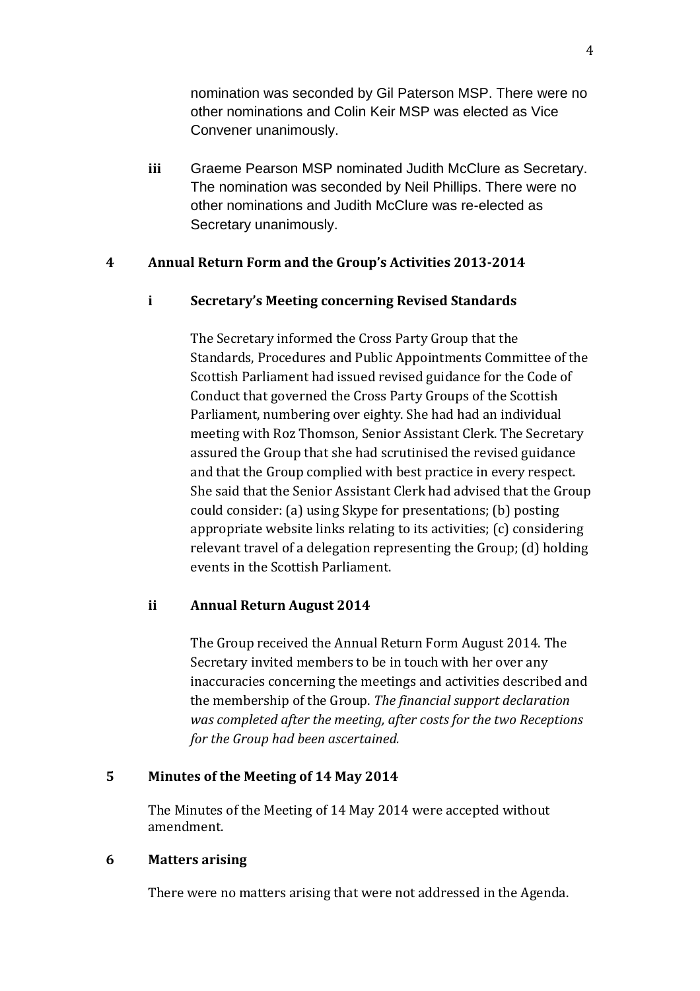nomination was seconded by Gil Paterson MSP. There were no other nominations and Colin Keir MSP was elected as Vice Convener unanimously.

**iii** Graeme Pearson MSP nominated Judith McClure as Secretary. The nomination was seconded by Neil Phillips. There were no other nominations and Judith McClure was re-elected as Secretary unanimously.

# **4 Annual Return Form and the Group's Activities 2013-2014**

# **i Secretary's Meeting concerning Revised Standards**

The Secretary informed the Cross Party Group that the Standards, Procedures and Public Appointments Committee of the Scottish Parliament had issued revised guidance for the Code of Conduct that governed the Cross Party Groups of the Scottish Parliament, numbering over eighty. She had had an individual meeting with Roz Thomson, Senior Assistant Clerk. The Secretary assured the Group that she had scrutinised the revised guidance and that the Group complied with best practice in every respect. She said that the Senior Assistant Clerk had advised that the Group could consider: (a) using Skype for presentations; (b) posting appropriate website links relating to its activities; (c) considering relevant travel of a delegation representing the Group; (d) holding events in the Scottish Parliament.

# **ii Annual Return August 2014**

The Group received the Annual Return Form August 2014. The Secretary invited members to be in touch with her over any inaccuracies concerning the meetings and activities described and the membership of the Group. *The financial support declaration was completed after the meeting, after costs for the two Receptions for the Group had been ascertained.*

# **5 Minutes of the Meeting of 14 May 2014**

The Minutes of the Meeting of 14 May 2014 were accepted without amendment.

# **6 Matters arising**

There were no matters arising that were not addressed in the Agenda.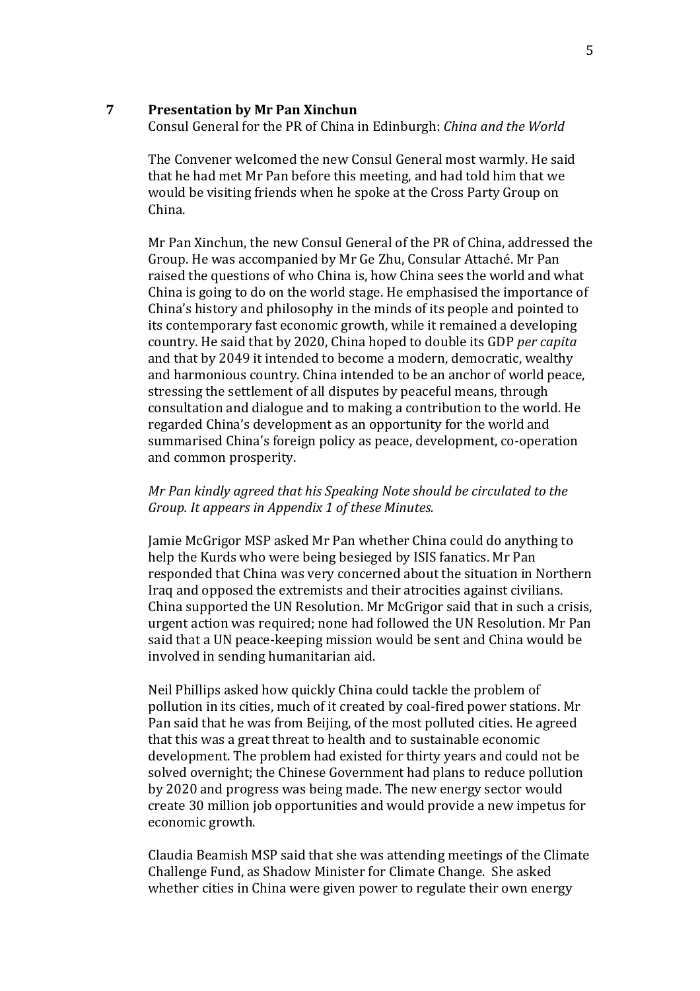#### **7 Presentation by Mr Pan Xinchun**

Consul General for the PR of China in Edinburgh: *China and the World*

The Convener welcomed the new Consul General most warmly. He said that he had met Mr Pan before this meeting, and had told him that we would be visiting friends when he spoke at the Cross Party Group on China.

Mr Pan Xinchun, the new Consul General of the PR of China, addressed the Group. He was accompanied by Mr Ge Zhu, Consular Attaché. Mr Pan raised the questions of who China is, how China sees the world and what China is going to do on the world stage. He emphasised the importance of China's history and philosophy in the minds of its people and pointed to its contemporary fast economic growth, while it remained a developing country. He said that by 2020, China hoped to double its GDP *per capita*  and that by 2049 it intended to become a modern, democratic, wealthy and harmonious country. China intended to be an anchor of world peace, stressing the settlement of all disputes by peaceful means, through consultation and dialogue and to making a contribution to the world. He regarded China's development as an opportunity for the world and summarised China's foreign policy as peace, development, co-operation and common prosperity.

# *Mr Pan kindly agreed that his Speaking Note should be circulated to the Group. It appears in Appendix 1 of these Minutes.*

Jamie McGrigor MSP asked Mr Pan whether China could do anything to help the Kurds who were being besieged by ISIS fanatics. Mr Pan responded that China was very concerned about the situation in Northern Iraq and opposed the extremists and their atrocities against civilians. China supported the UN Resolution. Mr McGrigor said that in such a crisis, urgent action was required; none had followed the UN Resolution. Mr Pan said that a UN peace-keeping mission would be sent and China would be involved in sending humanitarian aid.

Neil Phillips asked how quickly China could tackle the problem of pollution in its cities, much of it created by coal-fired power stations. Mr Pan said that he was from Beijing, of the most polluted cities. He agreed that this was a great threat to health and to sustainable economic development. The problem had existed for thirty years and could not be solved overnight; the Chinese Government had plans to reduce pollution by 2020 and progress was being made. The new energy sector would create 30 million job opportunities and would provide a new impetus for economic growth.

Claudia Beamish MSP said that she was attending meetings of the Climate Challenge Fund, as Shadow Minister for Climate Change. She asked whether cities in China were given power to regulate their own energy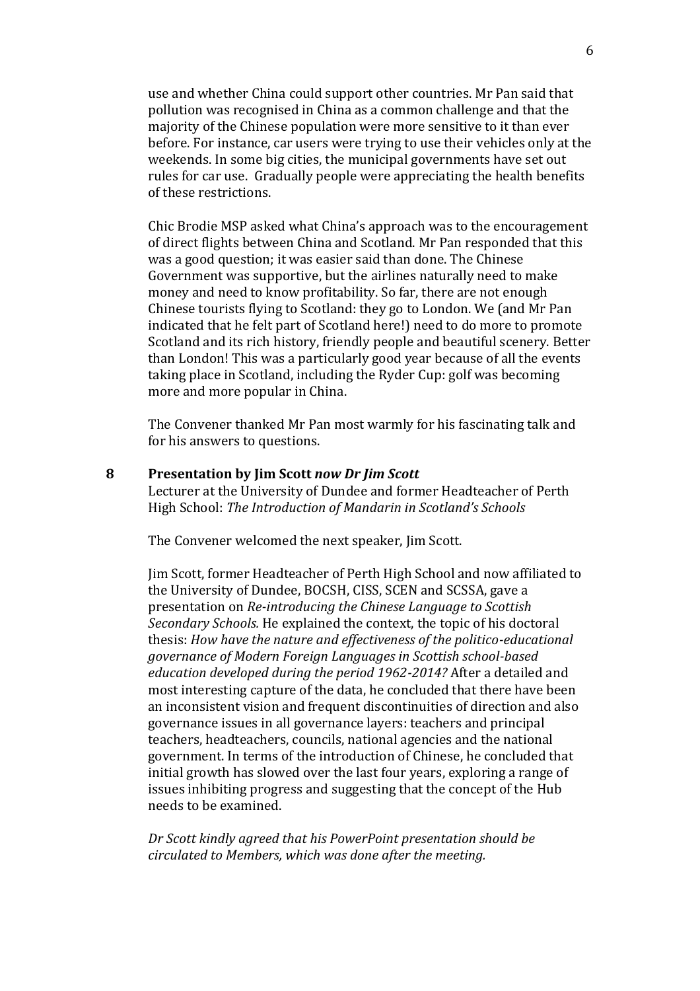use and whether China could support other countries. Mr Pan said that pollution was recognised in China as a common challenge and that the majority of the Chinese population were more sensitive to it than ever before. For instance, car users were trying to use their vehicles only at the weekends. In some big cities, the municipal governments have set out rules for car use. Gradually people were appreciating the health benefits of these restrictions.

Chic Brodie MSP asked what China's approach was to the encouragement of direct flights between China and Scotland. Mr Pan responded that this was a good question; it was easier said than done. The Chinese Government was supportive, but the airlines naturally need to make money and need to know profitability. So far, there are not enough Chinese tourists flying to Scotland: they go to London. We (and Mr Pan indicated that he felt part of Scotland here!) need to do more to promote Scotland and its rich history, friendly people and beautiful scenery. Better than London! This was a particularly good year because of all the events taking place in Scotland, including the Ryder Cup: golf was becoming more and more popular in China.

The Convener thanked Mr Pan most warmly for his fascinating talk and for his answers to questions.

### **8 Presentation by Jim Scott** *now Dr Jim Scott*

Lecturer at the University of Dundee and former Headteacher of Perth High School: *The Introduction of Mandarin in Scotland's Schools*

The Convener welcomed the next speaker, Jim Scott.

Jim Scott, former Headteacher of Perth High School and now affiliated to the University of Dundee, BOCSH, CISS, SCEN and SCSSA, gave a presentation on *Re-introducing the Chinese Language to Scottish Secondary Schools.* He explained the context, the topic of his doctoral thesis: *How have the nature and effectiveness of the politico-educational governance of Modern Foreign Languages in Scottish school-based education developed during the period 1962-2014?* After a detailed and most interesting capture of the data, he concluded that there have been an inconsistent vision and frequent discontinuities of direction and also governance issues in all governance layers: teachers and principal teachers, headteachers, councils, national agencies and the national government. In terms of the introduction of Chinese, he concluded that initial growth has slowed over the last four years, exploring a range of issues inhibiting progress and suggesting that the concept of the Hub needs to be examined.

*Dr Scott kindly agreed that his PowerPoint presentation should be circulated to Members, which was done after the meeting.*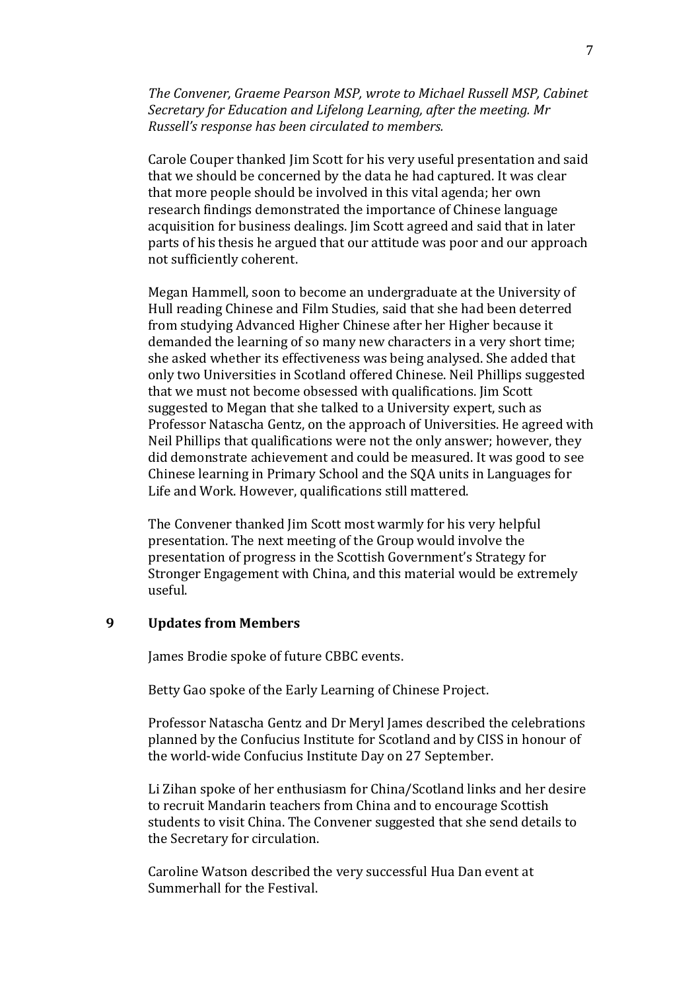*The Convener, Graeme Pearson MSP, wrote to Michael Russell MSP, Cabinet Secretary for Education and Lifelong Learning, after the meeting. Mr Russell's response has been circulated to members.*

Carole Couper thanked Jim Scott for his very useful presentation and said that we should be concerned by the data he had captured. It was clear that more people should be involved in this vital agenda; her own research findings demonstrated the importance of Chinese language acquisition for business dealings. Jim Scott agreed and said that in later parts of his thesis he argued that our attitude was poor and our approach not sufficiently coherent.

Megan Hammell, soon to become an undergraduate at the University of Hull reading Chinese and Film Studies, said that she had been deterred from studying Advanced Higher Chinese after her Higher because it demanded the learning of so many new characters in a very short time; she asked whether its effectiveness was being analysed. She added that only two Universities in Scotland offered Chinese. Neil Phillips suggested that we must not become obsessed with qualifications. Jim Scott suggested to Megan that she talked to a University expert, such as Professor Natascha Gentz, on the approach of Universities. He agreed with Neil Phillips that qualifications were not the only answer; however, they did demonstrate achievement and could be measured. It was good to see Chinese learning in Primary School and the SQA units in Languages for Life and Work. However, qualifications still mattered.

The Convener thanked Jim Scott most warmly for his very helpful presentation. The next meeting of the Group would involve the presentation of progress in the Scottish Government's Strategy for Stronger Engagement with China, and this material would be extremely useful.

## **9 Updates from Members**

James Brodie spoke of future CBBC events.

Betty Gao spoke of the Early Learning of Chinese Project.

Professor Natascha Gentz and Dr Meryl James described the celebrations planned by the Confucius Institute for Scotland and by CISS in honour of the world-wide Confucius Institute Day on 27 September.

Li Zihan spoke of her enthusiasm for China/Scotland links and her desire to recruit Mandarin teachers from China and to encourage Scottish students to visit China. The Convener suggested that she send details to the Secretary for circulation.

Caroline Watson described the very successful Hua Dan event at Summerhall for the Festival.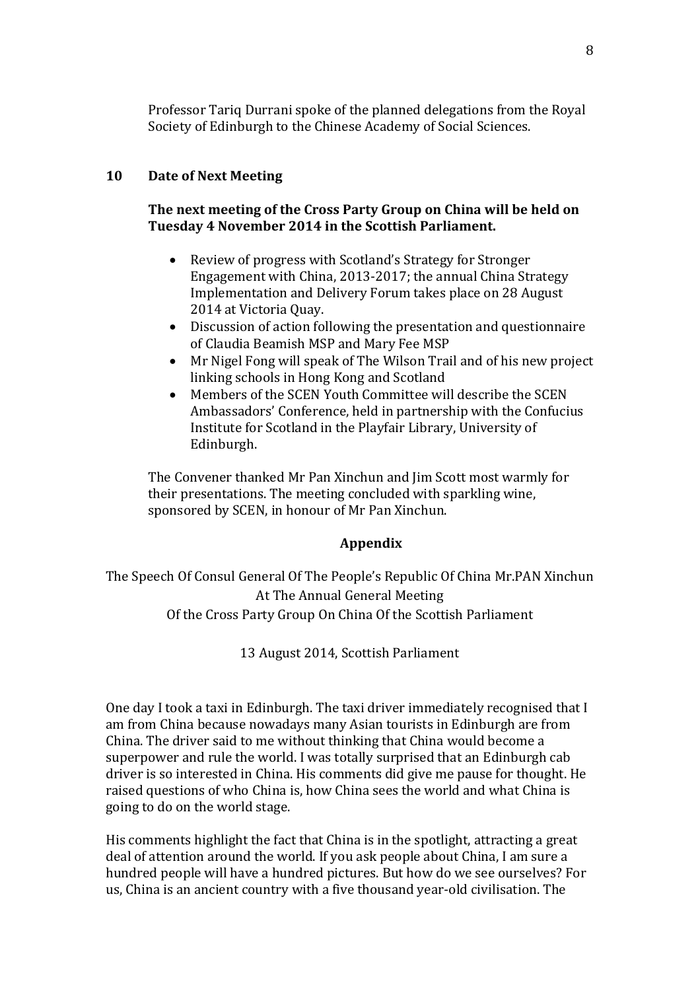Professor Tariq Durrani spoke of the planned delegations from the Royal Society of Edinburgh to the Chinese Academy of Social Sciences.

# **10 Date of Next Meeting**

# **The next meeting of the Cross Party Group on China will be held on Tuesday 4 November 2014 in the Scottish Parliament.**

- Review of progress with Scotland's Strategy for Stronger Engagement with China, 2013-2017; the annual China Strategy Implementation and Delivery Forum takes place on 28 August 2014 at Victoria Quay.
- Discussion of action following the presentation and questionnaire of Claudia Beamish MSP and Mary Fee MSP
- Mr Nigel Fong will speak of The Wilson Trail and of his new project linking schools in Hong Kong and Scotland
- Members of the SCEN Youth Committee will describe the SCEN Ambassadors' Conference, held in partnership with the Confucius Institute for Scotland in the Playfair Library, University of Edinburgh.

The Convener thanked Mr Pan Xinchun and Jim Scott most warmly for their presentations. The meeting concluded with sparkling wine, sponsored by SCEN, in honour of Mr Pan Xinchun.

### **Appendix**

The Speech Of Consul General Of The People's Republic Of China Mr.PAN Xinchun At The Annual General Meeting Of the Cross Party Group On China Of the Scottish Parliament

13 August 2014, Scottish Parliament

One day I took a taxi in Edinburgh. The taxi driver immediately recognised that I am from China because nowadays many Asian tourists in Edinburgh are from China. The driver said to me without thinking that China would become a superpower and rule the world. I was totally surprised that an Edinburgh cab driver is so interested in China. His comments did give me pause for thought. He raised questions of who China is, how China sees the world and what China is going to do on the world stage.

His comments highlight the fact that China is in the spotlight, attracting a great deal of attention around the world. If you ask people about China, I am sure a hundred people will have a hundred pictures. But how do we see ourselves? For us, China is an ancient country with a five thousand year-old civilisation. The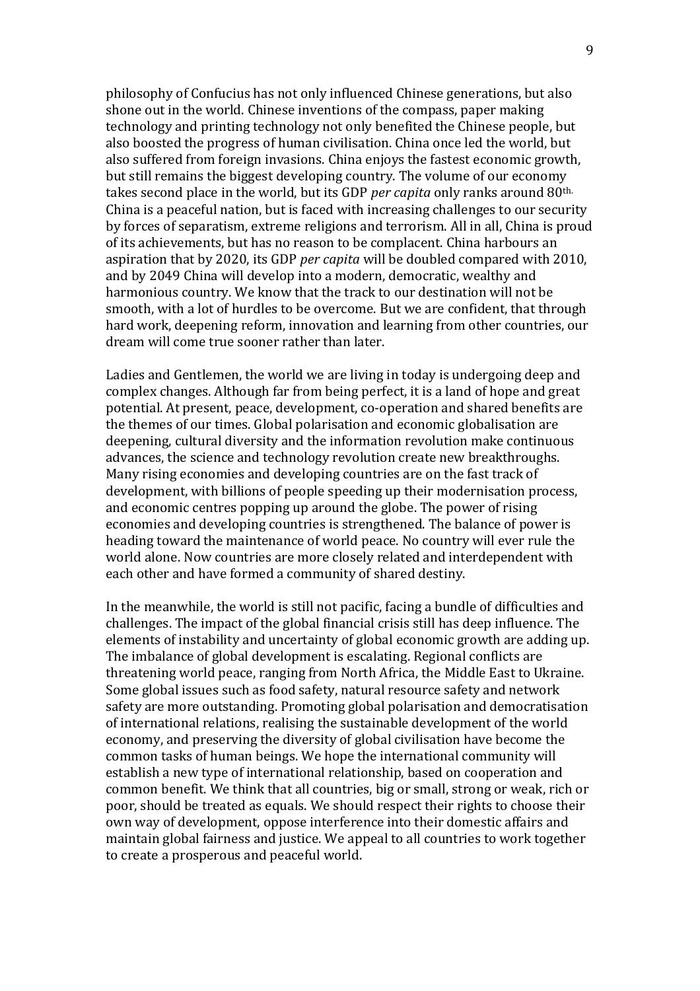philosophy of Confucius has not only influenced Chinese generations, but also shone out in the world. Chinese inventions of the compass, paper making technology and printing technology not only benefited the Chinese people, but also boosted the progress of human civilisation. China once led the world, but also suffered from foreign invasions. China enjoys the fastest economic growth, but still remains the biggest developing country. The volume of our economy takes second place in the world, but its GDP *per capita* only ranks around 80th. China is a peaceful nation, but is faced with increasing challenges to our security by forces of separatism, extreme religions and terrorism. All in all, China is proud of its achievements, but has no reason to be complacent. China harbours an aspiration that by 2020, its GDP *per capita* will be doubled compared with 2010, and by 2049 China will develop into a modern, democratic, wealthy and harmonious country. We know that the track to our destination will not be smooth, with a lot of hurdles to be overcome. But we are confident, that through hard work, deepening reform, innovation and learning from other countries, our dream will come true sooner rather than later.

Ladies and Gentlemen, the world we are living in today is undergoing deep and complex changes. Although far from being perfect, it is a land of hope and great potential. At present, peace, development, co-operation and shared benefits are the themes of our times. Global polarisation and economic globalisation are deepening, cultural diversity and the information revolution make continuous advances, the science and technology revolution create new breakthroughs. Many rising economies and developing countries are on the fast track of development, with billions of people speeding up their modernisation process, and economic centres popping up around the globe. The power of rising economies and developing countries is strengthened. The balance of power is heading toward the maintenance of world peace. No country will ever rule the world alone. Now countries are more closely related and interdependent with each other and have formed a community of shared destiny.

In the meanwhile, the world is still not pacific, facing a bundle of difficulties and challenges. The impact of the global financial crisis still has deep influence. The elements of instability and uncertainty of global economic growth are adding up. The imbalance of global development is escalating. Regional conflicts are threatening world peace, ranging from North Africa, the Middle East to Ukraine. Some global issues such as food safety, natural resource safety and network safety are more outstanding. Promoting global polarisation and democratisation of international relations, realising the sustainable development of the world economy, and preserving the diversity of global civilisation have become the common tasks of human beings. We hope the international community will establish a new type of international relationship, based on cooperation and common benefit. We think that all countries, big or small, strong or weak, rich or poor, should be treated as equals. We should respect their rights to choose their own way of development, oppose interference into their domestic affairs and maintain global fairness and justice. We appeal to all countries to work together to create a prosperous and peaceful world.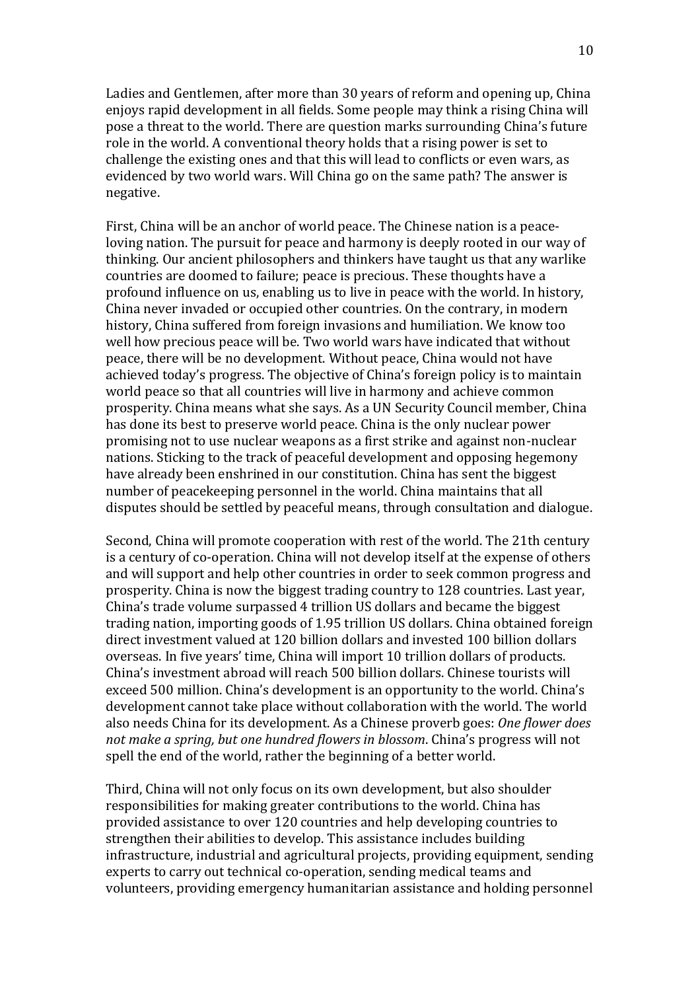Ladies and Gentlemen, after more than 30 years of reform and opening up, China enjoys rapid development in all fields. Some people may think a rising China will pose a threat to the world. There are question marks surrounding China's future role in the world. A conventional theory holds that a rising power is set to challenge the existing ones and that this will lead to conflicts or even wars, as evidenced by two world wars. Will China go on the same path? The answer is negative.

First, China will be an anchor of world peace. The Chinese nation is a peaceloving nation. The pursuit for peace and harmony is deeply rooted in our way of thinking. Our ancient philosophers and thinkers have taught us that any warlike countries are doomed to failure; peace is precious. These thoughts have a profound influence on us, enabling us to live in peace with the world. In history, China never invaded or occupied other countries. On the contrary, in modern history, China suffered from foreign invasions and humiliation. We know too well how precious peace will be. Two world wars have indicated that without peace, there will be no development. Without peace, China would not have achieved today's progress. The objective of China's foreign policy is to maintain world peace so that all countries will live in harmony and achieve common prosperity. China means what she says. As a UN Security Council member, China has done its best to preserve world peace. China is the only nuclear power promising not to use nuclear weapons as a first strike and against non-nuclear nations. Sticking to the track of peaceful development and opposing hegemony have already been enshrined in our constitution. China has sent the biggest number of peacekeeping personnel in the world. China maintains that all disputes should be settled by peaceful means, through consultation and dialogue.

Second, China will promote cooperation with rest of the world. The 21th century is a century of co-operation. China will not develop itself at the expense of others and will support and help other countries in order to seek common progress and prosperity. China is now the biggest trading country to 128 countries. Last year, China's trade volume surpassed 4 trillion US dollars and became the biggest trading nation, importing goods of 1.95 trillion US dollars. China obtained foreign direct investment valued at 120 billion dollars and invested 100 billion dollars overseas. In five years' time, China will import 10 trillion dollars of products. China's investment abroad will reach 500 billion dollars. Chinese tourists will exceed 500 million. China's development is an opportunity to the world. China's development cannot take place without collaboration with the world. The world also needs China for its development. As a Chinese proverb goes: *One flower does not make a spring, but one hundred flowers in blossom*. China's progress will not spell the end of the world, rather the beginning of a better world.

Third, China will not only focus on its own development, but also shoulder responsibilities for making greater contributions to the world. China has provided assistance to over 120 countries and help developing countries to strengthen their abilities to develop. This assistance includes building infrastructure, industrial and agricultural projects, providing equipment, sending experts to carry out technical co-operation, sending medical teams and volunteers, providing emergency humanitarian assistance and holding personnel